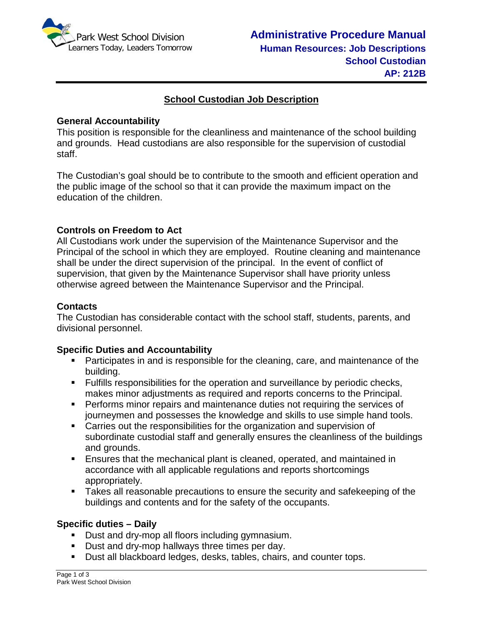

## **School Custodian Job Description**

#### **General Accountability**

This position is responsible for the cleanliness and maintenance of the school building and grounds. Head custodians are also responsible for the supervision of custodial staff.

The Custodian's goal should be to contribute to the smooth and efficient operation and the public image of the school so that it can provide the maximum impact on the education of the children.

### **Controls on Freedom to Act**

All Custodians work under the supervision of the Maintenance Supervisor and the Principal of the school in which they are employed. Routine cleaning and maintenance shall be under the direct supervision of the principal. In the event of conflict of supervision, that given by the Maintenance Supervisor shall have priority unless otherwise agreed between the Maintenance Supervisor and the Principal.

### **Contacts**

The Custodian has considerable contact with the school staff, students, parents, and divisional personnel.

### **Specific Duties and Accountability**

- Participates in and is responsible for the cleaning, care, and maintenance of the building.
- Fulfills responsibilities for the operation and surveillance by periodic checks, makes minor adjustments as required and reports concerns to the Principal.
- **Performs minor repairs and maintenance duties not requiring the services of** journeymen and possesses the knowledge and skills to use simple hand tools.
- Carries out the responsibilities for the organization and supervision of subordinate custodial staff and generally ensures the cleanliness of the buildings and grounds.
- Ensures that the mechanical plant is cleaned, operated, and maintained in accordance with all applicable regulations and reports shortcomings appropriately.
- Takes all reasonable precautions to ensure the security and safekeeping of the buildings and contents and for the safety of the occupants.

### **Specific duties – Daily**

- Dust and dry-mop all floors including gymnasium.
- Dust and dry-mop hallways three times per day.
- **Dust all blackboard ledges, desks, tables, chairs, and counter tops.**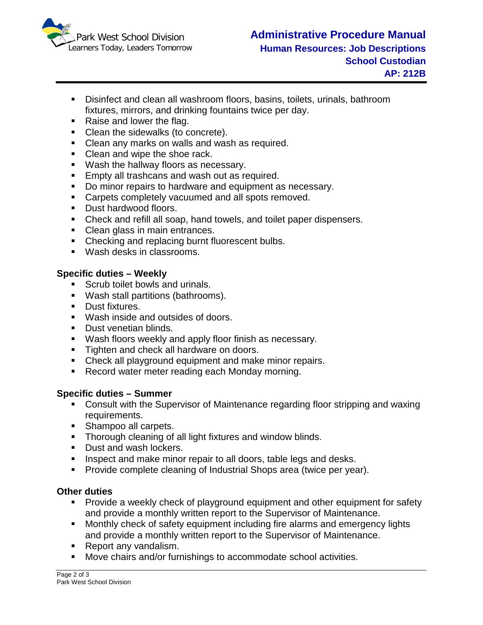

- Disinfect and clean all washroom floors, basins, toilets, urinals, bathroom fixtures, mirrors, and drinking fountains twice per day.
- Raise and lower the flag.
- Clean the sidewalks (to concrete).
- **Clean any marks on walls and wash as required.**
- Clean and wipe the shoe rack.
- **Wash the hallway floors as necessary.**
- **Empty all trashcans and wash out as required.**
- Do minor repairs to hardware and equipment as necessary.
- **Carpets completely vacuumed and all spots removed.**
- **Dust hardwood floors.**
- Check and refill all soap, hand towels, and toilet paper dispensers.
- Clean glass in main entrances.
- Checking and replacing burnt fluorescent bulbs.
- **Wash desks in classrooms.**

### **Specific duties – Weekly**

- **Scrub toilet bowls and urinals.**
- Wash stall partitions (bathrooms).
- **Dust fixtures.**
- Wash inside and outsides of doors.
- Dust venetian blinds.
- **Wash floors weekly and apply floor finish as necessary.**
- **Tighten and check all hardware on doors.**
- Check all playground equipment and make minor repairs.
- Record water meter reading each Monday morning.

### **Specific duties – Summer**

- Consult with the Supervisor of Maintenance regarding floor stripping and waxing requirements.
- Shampoo all carpets.
- **Thorough cleaning of all light fixtures and window blinds.**
- Dust and wash lockers.
- **Inspect and make minor repair to all doors, table legs and desks.**
- **Provide complete cleaning of Industrial Shops area (twice per year).**

# **Other duties**

- **Provide a weekly check of playground equipment and other equipment for safety** and provide a monthly written report to the Supervisor of Maintenance.
- Monthly check of safety equipment including fire alarms and emergency lights and provide a monthly written report to the Supervisor of Maintenance.
- Report any vandalism.
- Move chairs and/or furnishings to accommodate school activities.